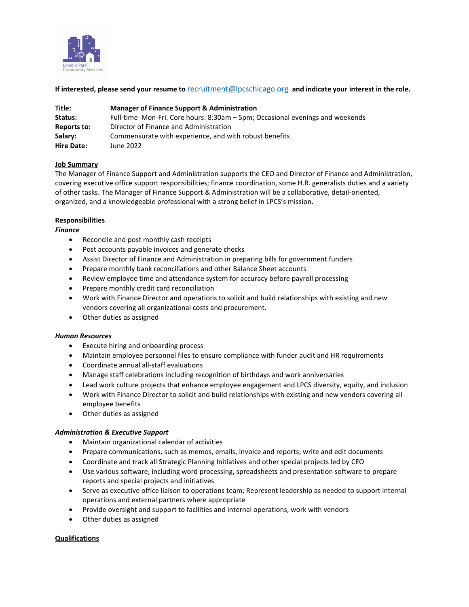

**If interested, please send your resume to** [recruitment@lpcschicago.org](mailto:recruitment@lpcschicago.org) **and indicate your interest in the role.**

| Title:      | <b>Manager of Finance Support &amp; Administration</b>                        |
|-------------|-------------------------------------------------------------------------------|
| Status:     | Full-time Mon-Fri. Core hours: 8:30am – 5pm; Occasional evenings and weekends |
| Reports to: | Director of Finance and Administration                                        |
| Salary:     | Commensurate with experience, and with robust benefits                        |
| Hire Date:  | June 2022                                                                     |

# **Job Summary**

The Manager of Finance Support and Administration supports the CEO and Director of Finance and Administration, covering executive office support responsibilities; finance coordination, some H.R. generalists duties and a variety of other tasks. The Manager of Finance Support & Administration will be a collaborative, detail-oriented, organized, and a knowledgeable professional with a strong belief in LPCS's mission.

# **Responsibilities**

### *Finance*

- Reconcile and post monthly cash receipts
- Post accounts payable invoices and generate checks
- Assist Director of Finance and Administration in preparing bills for government funders
- Prepare monthly bank reconciliations and other Balance Sheet accounts
- Review employee time and attendance system for accuracy before payroll processing
- Prepare monthly credit card reconciliation
- Work with Finance Director and operations to solicit and build relationships with existing and new vendors covering all organizational costs and procurement.
- Other duties as assigned

# *Human Resources*

- Execute hiring and onboarding process
- Maintain employee personnel files to ensure compliance with funder audit and HR requirements
- Coordinate annual all-staff evaluations
- Manage staff celebrations including recognition of birthdays and work anniversaries
- Lead work culture projects that enhance employee engagement and LPCS diversity, equity, and inclusion
- Work with Finance Director to solicit and build relationships with existing and new vendors covering all employee benefits
- Other duties as assigned

# *Administration & Executive Support*

- Maintain organizational calendar of activities
- Prepare communications, such as memos, emails, invoice and reports; write and edit documents
- Coordinate and track all Strategic Planning Initiatives and other special projects led by CEO
- Use various software, including word processing, spreadsheets and presentation software to prepare reports and special projects and initiatives
- Serve as executive office liaison to operations team; Represent leadership as needed to support internal operations and external partners where appropriate
- Provide oversight and support to facilities and internal operations, work with vendors
- Other duties as assigned

# **Qualifications**